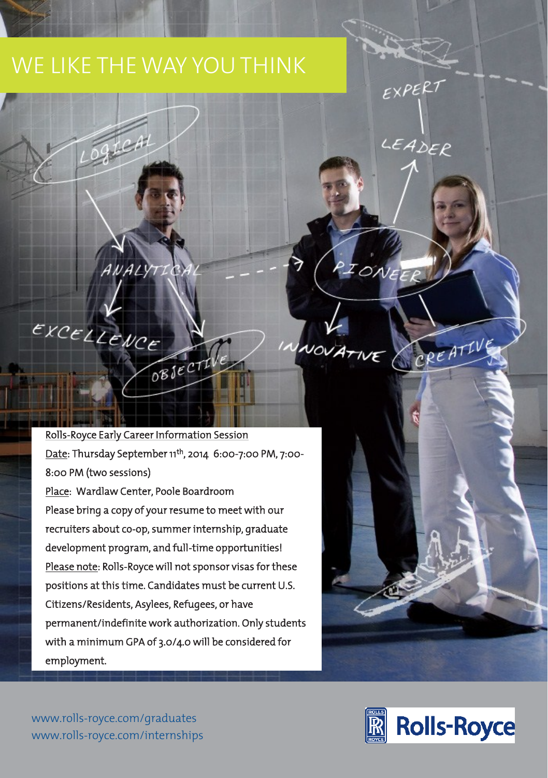## WE LIKE THE WAY YOU THINK WE LIKE THE WAY YOU THINK IT IS NOT THE WAY TO AN OUTLINE THE WAY TO AN OUTLINE THE WAY TO AN OUTLINE THE WAY T

ogical

ANALYT

EXCELLENCE

Rolls-Rolls-Rolls-Rolls-Rolls-Rolls-Rolls-Rolls-Rolls-Rolls-Rolls-Rolls-Rolls-Rolls-Rolls-Rolls-Rolls-Rolls-Rolls-<u>Date</u>: Thursday September 11<sup>th</sup>, 2014  $0.00$ -7:00 PM, 7:00-8:00 PM (two sessions)<br>Place: Wardlaw Center, Poole Boardroom Please bring a copy of your resume to meet with our Please bring a copy of your resume to meet with our  $\mathbf{r}$ recruiters about co-op, summer internship, graduate development program, and full-time opportunities! Please note: Rolls-Royce will not sponsor visas for these<br>positions at this time. Candidates must be current U.S. positions at this time. Candidates must be current U.S. Citizens/Residents, Asylees, Refugees, or have permanent indefinite work and independent of  $\boldsymbol{\mu}$  students. with a minimum GPA of  $3.0\pm 0.0$  will be considered for  $\frac{1}{2}$ employment.

OBJECTIVE



**FXPERT** 

LEADER

PIONEEP

NOVATIVE CREATIVE